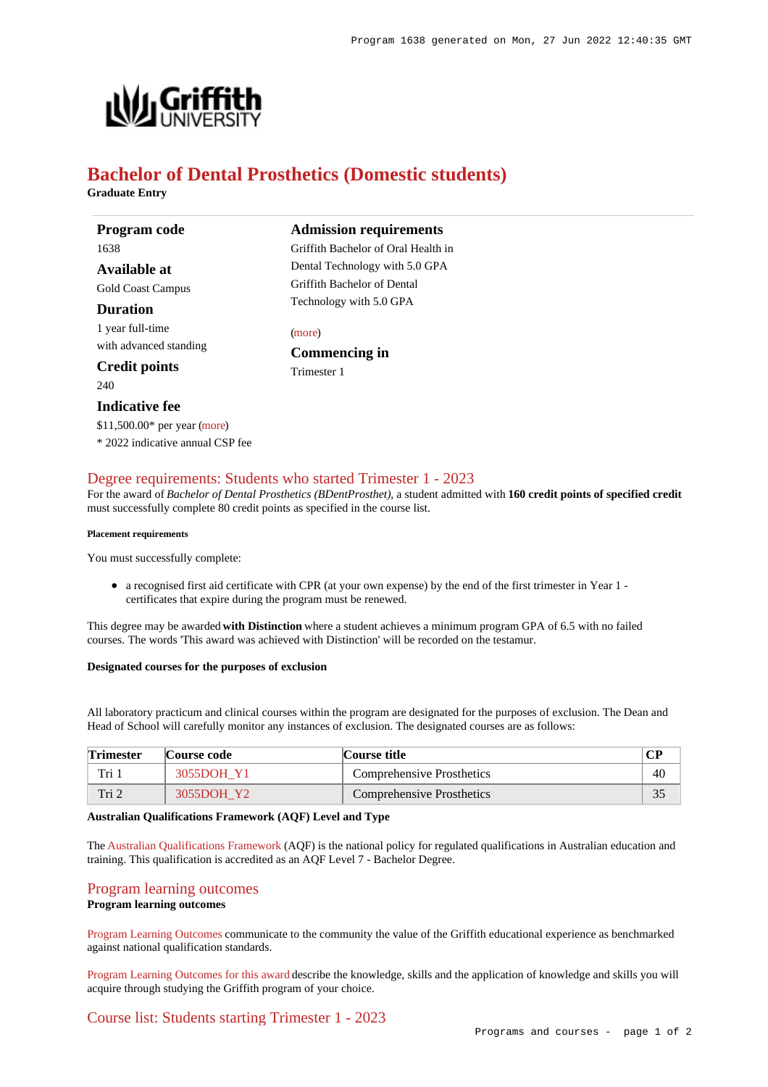

# **Bachelor of Dental Prosthetics (Domestic students)**

**Graduate Entry**

**Program code** 1638

**Available at** Gold Coast Campus

#### **Duration**

1 year full-time with advanced standing

# **Credit points**

240

## **Indicative fee**

\$11,500.00\* per year [\(more](https://www148.griffith.edu.au/programs-courses/Program/1638/Overview/Domestic#fees)) \* 2022 indicative annual CSP fee

# **Admission requirements**

Griffith Bachelor of Oral Health in Dental Technology with 5.0 GPA Griffith Bachelor of Dental Technology with 5.0 GPA

#### [\(more](https://www148.griffith.edu.au/programs-courses/Program/1638/HowToApply/Domestic#can-i-apply))

**Commencing in** Trimester 1

# [Degree requirements: Students who started Trimester 1 - 2023](https://www148.griffith.edu.au/programs-courses/Program/1638/Courses/Domestic#degree-requirements)

For the award of *Bachelor of Dental Prosthetics (BDentProsthet)*, a student admitted with **160 credit points of specified credit** must successfully complete 80 credit points as specified in the course list.

#### **Placement requirements**

You must successfully complete:

a recognised first aid certificate with CPR (at your own expense) by the end of the first trimester in Year 1 certificates that expire during the program must be renewed.

This degree may be awarded **with Distinction** where a student achieves a minimum program GPA of 6.5 with no failed courses. The words 'This award was achieved with Distinction' will be recorded on the testamur.

#### **Designated courses for the purposes of exclusion**

All laboratory practicum and clinical courses within the program are designated for the purposes of exclusion. The Dean and Head of School will carefully monitor any instances of exclusion. The designated courses are as follows:

| <b>Trimester</b> | Course code - | Course title              |    |
|------------------|---------------|---------------------------|----|
| Tri 1            | 3055DOH Y1    | Comprehensive Prosthetics | 40 |
| Tri 2            | 3055DOH Y2    | Comprehensive Prosthetics | 35 |

#### **Australian Qualifications Framework (AQF) Level and Type**

The [Australian Qualifications Framework](http://www.aqf.edu.au/) (AQF) is the national policy for regulated qualifications in Australian education and training. This qualification is accredited as an AQF Level 7 - Bachelor Degree.

### [Program learning outcomes](https://www148.griffith.edu.au/programs-courses/Program/1638/Courses/Domestic#programLearningOutcomes)

#### **Program learning outcomes**

[Program Learning Outcomes](https://www.griffith.edu.au/__data/assets/pdf_file/0017/134522/PLO-general-advice.pdf) communicate to the community the value of the Griffith educational experience as benchmarked against national qualification standards.

[Program Learning Outcomes for this award](https://www.griffith.edu.au/__data/assets/pdf_file/0029/295616/BDental-Prosthetics-PLO-L7.pdf) describe the knowledge, skills and the application of knowledge and skills you will acquire through studying the Griffith program of your choice.

# [Course list: Students starting Trimester 1 - 2023](https://www148.griffith.edu.au/programs-courses/Program/1638/Courses/Domestic#course-list-content)